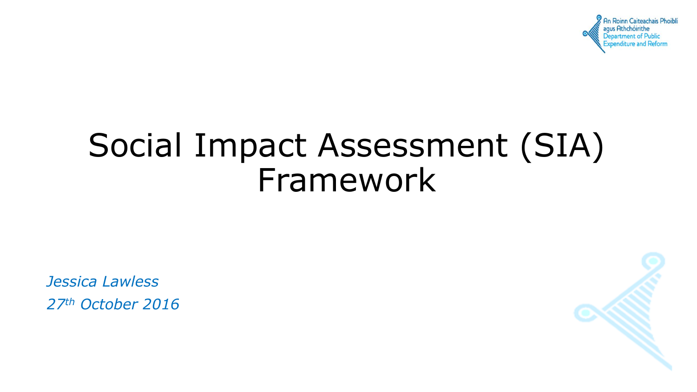

# Social Impact Assessment (SIA) Framework

*Jessica Lawless 27th October 2016*

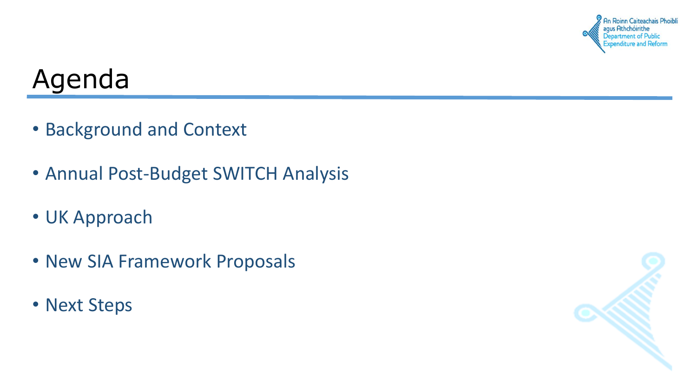

#### Agenda

- Background and Context
- Annual Post-Budget SWITCH Analysis
- UK Approach
- New SIA Framework Proposals
- Next Steps

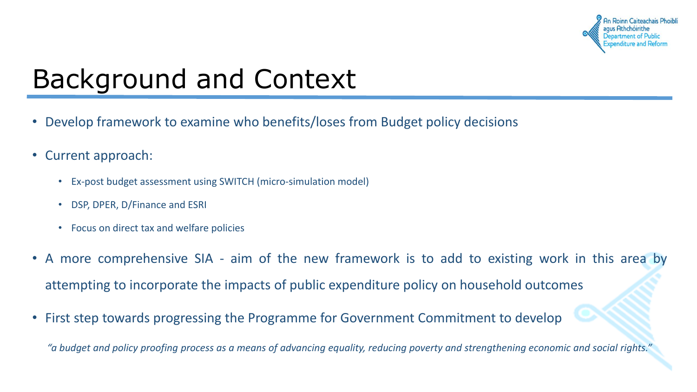

## Background and Context

- Develop framework to examine who benefits/loses from Budget policy decisions
- Current approach:
	- Ex-post budget assessment using SWITCH (micro-simulation model)
	- DSP, DPER, D/Finance and ESRI
	- Focus on direct tax and welfare policies
- A more comprehensive SIA aim of the new framework is to add to existing work in this area by attempting to incorporate the impacts of public expenditure policy on household outcomes
- First step towards progressing the Programme for Government Commitment to develop

"a budget and policy proofing process as a means of advancing equality, reducing poverty and strengthening economic and social rights."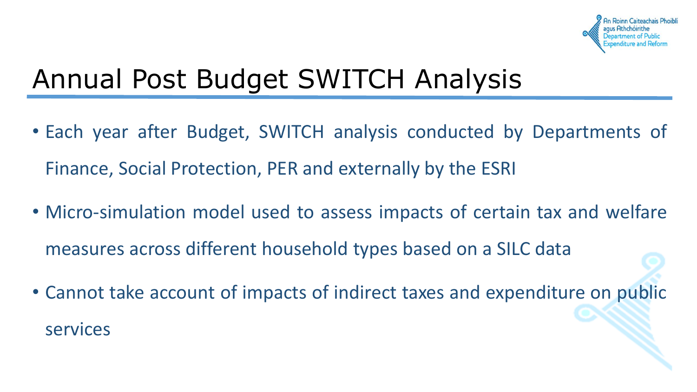### Annual Post Budget SWITCH Analysis

- Each year after Budget, SWITCH analysis conducted by Departments of Finance, Social Protection, PER and externally by the ESRI
- Micro-simulation model used to assess impacts of certain tax and welfare measures across different household types based on a SILC data
- Cannot take account of impacts of indirect taxes and expenditure on public services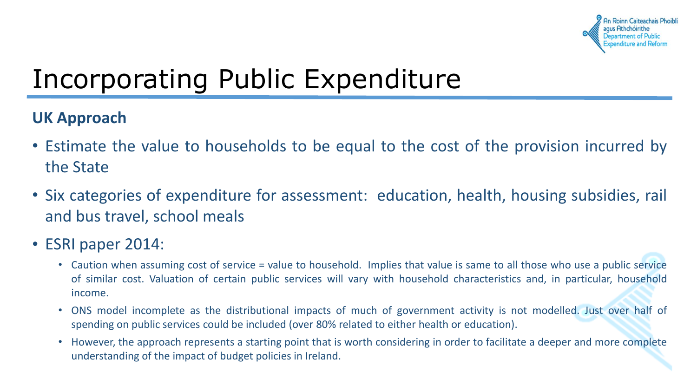

### Incorporating Public Expenditure

#### **UK Approach**

- Estimate the value to households to be equal to the cost of the provision incurred by the State
- Six categories of expenditure for assessment: education, health, housing subsidies, rail and bus travel, school meals
- ESRI paper 2014:
	- Caution when assuming cost of service = value to household. Implies that value is same to all those who use a public service of similar cost. Valuation of certain public services will vary with household characteristics and, in particular, household income.
	- ONS model incomplete as the distributional impacts of much of government activity is not modelled. Just over half of spending on public services could be included (over 80% related to either health or education).
	- However, the approach represents a starting point that is worth considering in order to facilitate a deeper and more complete understanding of the impact of budget policies in Ireland.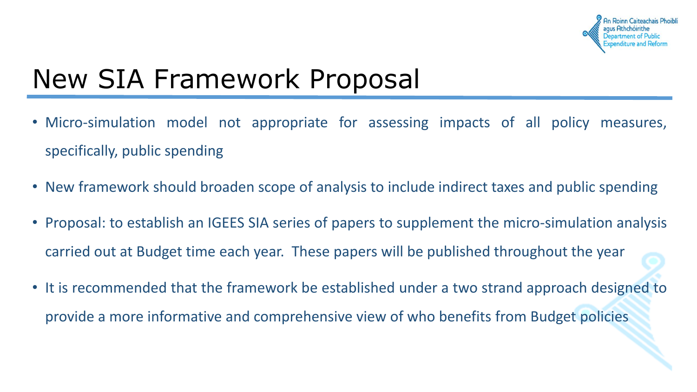

### New SIA Framework Proposal

- Micro-simulation model not appropriate for assessing impacts of all policy measures, specifically, public spending
- New framework should broaden scope of analysis to include indirect taxes and public spending
- Proposal: to establish an IGEES SIA series of papers to supplement the micro-simulation analysis carried out at Budget time each year. These papers will be published throughout the year
- It is recommended that the framework be established under a two strand approach designed to provide a more informative and comprehensive view of who benefits from Budget policies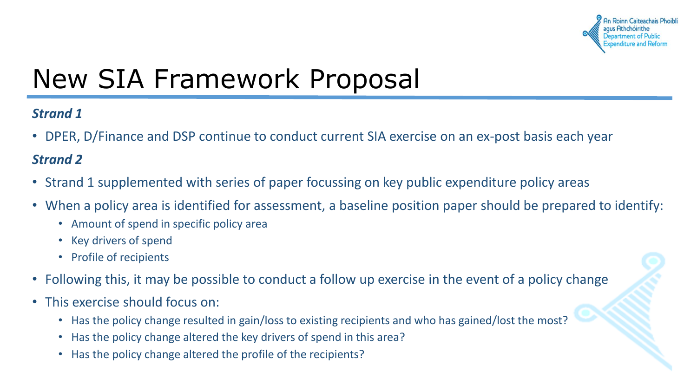

### New SIA Framework Proposal

#### *Strand 1*

• DPER, D/Finance and DSP continue to conduct current SIA exercise on an ex-post basis each year

#### *Strand 2*

- Strand 1 supplemented with series of paper focussing on key public expenditure policy areas
- When a policy area is identified for assessment, a baseline position paper should be prepared to identify:
	- Amount of spend in specific policy area
	- Key drivers of spend
	- Profile of recipients
- Following this, it may be possible to conduct a follow up exercise in the event of a policy change
- This exercise should focus on:
	- Has the policy change resulted in gain/loss to existing recipients and who has gained/lost the most?
	- Has the policy change altered the key drivers of spend in this area?
	- Has the policy change altered the profile of the recipients?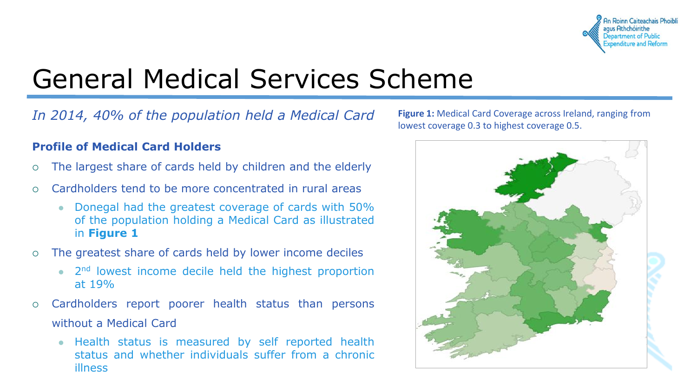

### General Medical Services Scheme

*In 2014, 40% of the population held a Medical Card*

#### **Profile of Medical Card Holders**

- The largest share of cards held by children and the elderly
- Cardholders tend to be more concentrated in rural areas
	- Donegal had the greatest coverage of cards with 50% of the population holding a Medical Card as illustrated in **Figure 1**
- The greatest share of cards held by lower income deciles
	- 2<sup>nd</sup> lowest income decile held the highest proportion at 19%
- Cardholders report poorer health status than persons without a Medical Card
	- Health status is measured by self reported health status and whether individuals suffer from a chronic illness

**Figure 1:** Medical Card Coverage across Ireland, ranging from lowest coverage 0.3 to highest coverage 0.5.

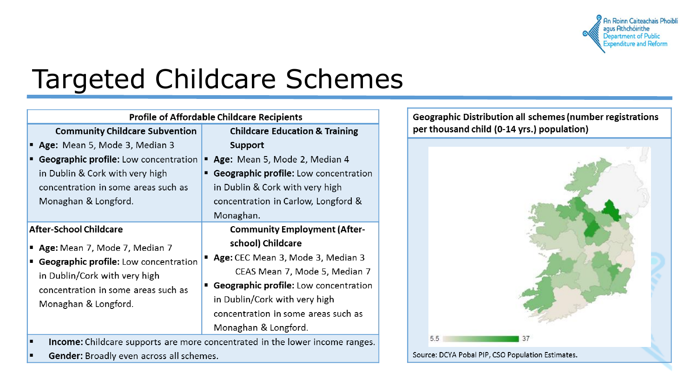

#### Targeted Childcare Schemes

| <b>Profile of Affordable Childcare Recipients</b> |                                                   |
|---------------------------------------------------|---------------------------------------------------|
| <b>Community Childcare Subvention</b>             | <b>Childcare Education &amp; Training</b>         |
| Age: Mean 5, Mode 3, Median 3                     | <b>Support</b>                                    |
| <b>Geographic profile:</b> Low concentration      | Age: Mean 5, Mode 2, Median 4                     |
| in Dublin & Cork with very high                   | <b>Geographic profile:</b> Low concentration<br>п |
| concentration in some areas such as               | in Dublin & Cork with very high                   |
| Monaghan & Longford.                              | concentration in Carlow, Longford &               |
|                                                   | Monaghan.                                         |
| <b>After-School Childcare</b>                     | <b>Community Employment (After-</b>               |
| Age: Mean 7, Mode 7, Median 7                     | school) Childcare                                 |
| <b>Geographic profile:</b> Low concentration      | Age: CEC Mean 3, Mode 3, Median 3                 |
| in Dublin/Cork with very high                     | CEAS Mean 7, Mode 5, Median 7                     |
| concentration in some areas such as               | <b>Geographic profile:</b> Low concentration<br>٠ |
| Monaghan & Longford.                              | in Dublin/Cork with very high                     |
|                                                   | concentration in some areas such as               |
|                                                   | Monaghan & Longford.                              |

Income: Childcare supports are more concentrated in the lower income ranges. o

Gender: Broadly even across all schemes. п